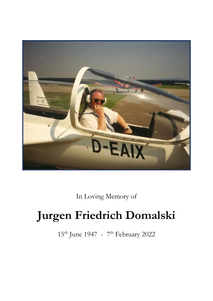

In Loving Memory of

# **Jurgen Friedrich Domalski**

15<sup>th</sup> June 1947 - 7<sup>th</sup> February 2022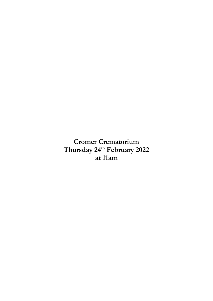**Cromer Crematorium Thursday 24th February 2022 at 11am**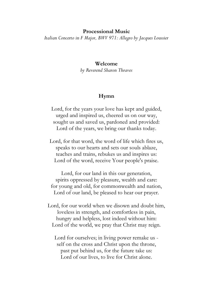## **Processional Music**

*Italian Concerto in F Major, BWV 971: Allegro by Jacques Loussier*

#### **Welcome**

*by Reverend Sharon Thraves*

## **Hymn**

Lord, for the years your love has kept and guided, urged and inspired us, cheered us on our way, sought us and saved us, pardoned and provided: Lord of the years, we bring our thanks today.

Lord, for that word, the word of life which fires us, speaks to our hearts and sets our souls ablaze, teaches and trains, rebukes us and inspires us: Lord of the word, receive Your people's praise.

Lord, for our land in this our generation, spirits oppressed by pleasure, wealth and care: for young and old, for commonwealth and nation, Lord of our land, be pleased to hear our prayer.

Lord, for our world when we disown and doubt him, loveless in strength, and comfortless in pain, hungry and helpless, lost indeed without him: Lord of the world, we pray that Christ may reign.

Lord for ourselves; in living power remake us self on the cross and Christ upon the throne, past put behind us, for the future take us: Lord of our lives, to live for Christ alone.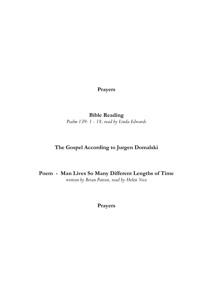**Prayers**

## **Bible Reading**

*Psalm 139: 1 - 18, read by Linda Edwards*

# **The Gospel According to Jurgen Domalski**

**Poem - Man Lives So Many Different Lengths of Time** *written by Brian Patten, read by Helen Nice*

**Prayers**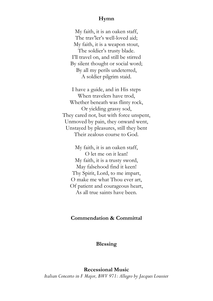# **Hymn**

My faith, it is an oaken staff, The trav'ler's well-loved aid; My faith, it is a weapon stout, The soldier's trusty blade. I'll travel on, and still be stirred By silent thought or social word; By all my perils undeterred, A soldier pilgrim staid.

I have a guide, and in His steps When travelers have trod, Whether beneath was flinty rock, Or yielding grassy sod, They cared not, but with force unspent, Unmoved by pain, they onward went, Unstayed by pleasures, still they bent Their zealous course to God.

My faith, it is an oaken staff, O let me on it lean! My faith, it is a trusty sword, May falsehood find it keen! Thy Spirit, Lord, to me impart, O make me what Thou ever art, Of patient and courageous heart, As all true saints have been.

## **Commendation & Committal**

## **Blessing**

**Recessional Music** *Italian Concerto in F Major, BWV 971: Allegro by Jacques Loussier*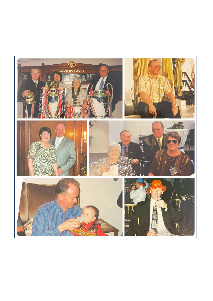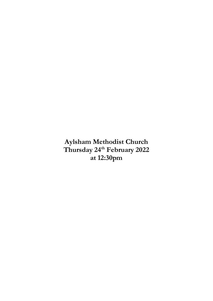**Aylsham Methodist Church Thursday 24th February 2022 at 12:30pm**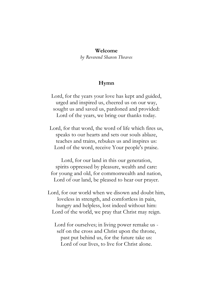## **Welcome** *by Reverend Sharon Thraves*

## **Hymn**

Lord, for the years your love has kept and guided, urged and inspired us, cheered us on our way, sought us and saved us, pardoned and provided: Lord of the years, we bring our thanks today.

Lord, for that word, the word of life which fires us, speaks to our hearts and sets our souls ablaze, teaches and trains, rebukes us and inspires us: Lord of the word, receive Your people's praise.

Lord, for our land in this our generation, spirits oppressed by pleasure, wealth and care: for young and old, for commonwealth and nation, Lord of our land, be pleased to hear our prayer.

Lord, for our world when we disown and doubt him, loveless in strength, and comfortless in pain, hungry and helpless, lost indeed without him: Lord of the world, we pray that Christ may reign.

Lord for ourselves; in living power remake us self on the cross and Christ upon the throne, past put behind us, for the future take us: Lord of our lives, to live for Christ alone.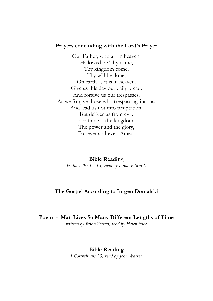## **Prayers concluding with the Lord's Prayer**

Our Father, who art in heaven, Hallowed be Thy name, Thy kingdom come, Thy will be done, On earth as it is in heaven. Give us this day our daily bread. And forgive us our trespasses, As we forgive those who trespass against us. And lead us not into temptation; But deliver us from evil. For thine is the kingdom, The power and the glory, For ever and ever. Amen.

## **Bible Reading**

*Psalm 139: 1 - 18, read by Linda Edwards*

## **The Gospel According to Jurgen Domalski**

## **Poem - Man Lives So Many Different Lengths of Time** *written by Brian Patten, read by Helen Nice*

### **Bible Reading**

*1 Corinthians 13, read by Jean Warren*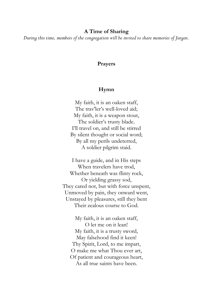## **A Time of Sharing**

*During this time, members of the congregation will be invited to share memories of Jurgen.*

#### **Prayers**

#### **Hymn**

My faith, it is an oaken staff, The trav'ler's well-loved aid; My faith, it is a weapon stout, The soldier's trusty blade. I'll travel on, and still be stirred By silent thought or social word; By all my perils undeterred, A soldier pilgrim staid.

I have a guide, and in His steps When travelers have trod, Whether beneath was flinty rock, Or yielding grassy sod, They cared not, but with force unspent, Unmoved by pain, they onward went, Unstayed by pleasures, still they bent Their zealous course to God.

My faith, it is an oaken staff, O let me on it lean! My faith, it is a trusty sword, May falsehood find it keen! Thy Spirit, Lord, to me impart, O make me what Thou ever art, Of patient and courageous heart, As all true saints have been.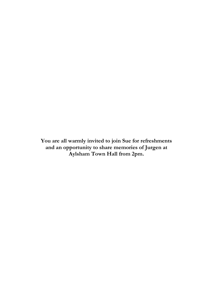**You are all warmly invited to join Sue for refreshments and an opportunity to share memories of Jurgen at Aylsham Town Hall from 2pm.**